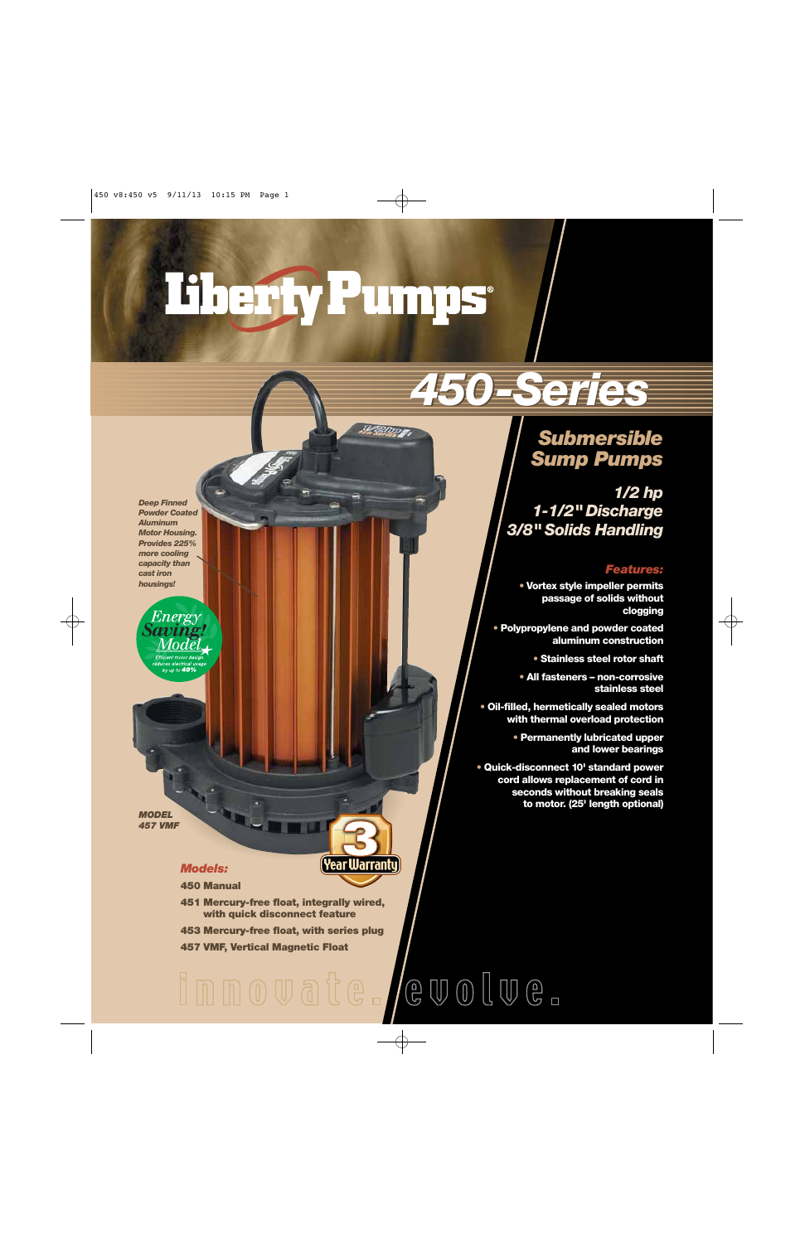# Fherfy Pumps

Mazzum <del>e</del>

## *450-Series 450-Series*

## *Submersible Sump Pumps*

*1/2 hp 1-1/2" Discharge 3/8" Solids Handling*

#### *Features:*

**• Vortex style impeller permits passage of solids without clogging** 

**• Polypropylene and powder coated aluminum construction**

**• Stainless steel rotor shaft**

**• All fasteners – non-corrosive stainless steel**

**• Oil-filled, hermetically sealed motors with thermal overload protection**

> **• Permanently lubricated upper and lower bearings**

**• Quick-disconnect 10' standard power cord allows replacement of cord in seconds without breaking seals to motor. (25' length optional)**

*Deep Finned Powder Coated Aluminum Motor Housing. Provides 225% more cooling capacity than cast iron housings!*

*Energy* 

Modĕ

up to 40%

*MODEL* 

### *457 VMF*

#### *Models:*

**450 Manual**

- **451 Mercury-free float, integrally wired, with quick disconnect feature**
- **453 Mercury-free float, with series plug**

**457 VMF, Vertical Magnetic Float**

## $C \oplus C \oplus C \oplus C$ innovate.

**Year Warranty**